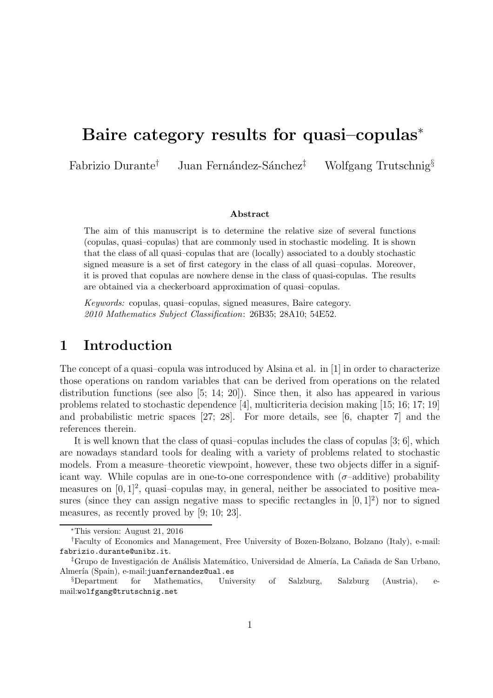# Baire category results for quasi–copulas<sup>∗</sup>

Fabrizio Durante<sup>†</sup> Juan Fernández-Sánchez<sup>‡</sup> Wolfgang Trutschnig<sup>§</sup>

#### Abstract

The aim of this manuscript is to determine the relative size of several functions (copulas, quasi–copulas) that are commonly used in stochastic modeling. It is shown that the class of all quasi–copulas that are (locally) associated to a doubly stochastic signed measure is a set of first category in the class of all quasi–copulas. Moreover, it is proved that copulas are nowhere dense in the class of quasi-copulas. The results are obtained via a checkerboard approximation of quasi–copulas.

Keywords: copulas, quasi–copulas, signed measures, Baire category. 2010 Mathematics Subject Classification: 26B35; 28A10; 54E52.

### 1 Introduction

The concept of a quasi–copula was introduced by Alsina et al. in [1] in order to characterize those operations on random variables that can be derived from operations on the related distribution functions (see also [5; 14; 20]). Since then, it also has appeared in various problems related to stochastic dependence [4], multicriteria decision making [15; 16; 17; 19] and probabilistic metric spaces [27; 28]. For more details, see [6, chapter 7] and the references therein.

It is well known that the class of quasi–copulas includes the class of copulas [3; 6], which are nowadays standard tools for dealing with a variety of problems related to stochastic models. From a measure–theoretic viewpoint, however, these two objects differ in a significant way. While copulas are in one-to-one correspondence with  $(\sigma$ -additive) probability measures on  $[0, 1]^2$ , quasi-copulas may, in general, neither be associated to positive measures (since they can assign negative mass to specific rectangles in  $[0,1]^2$ ) nor to signed measures, as recently proved by [9; 10; 23].

<sup>∗</sup>This version: August 21, 2016

<sup>†</sup>Faculty of Economics and Management, Free University of Bozen-Bolzano, Bolzano (Italy), e-mail: fabrizio.durante@unibz.it.

<sup>&</sup>lt;sup>‡</sup>Grupo de Investigación de Análisis Matemático, Universidad de Almería, La Cañada de San Urbano, Almería (Spain), e-mail: juanfernandez@ual.es

<sup>§</sup>Department for Mathematics, University of Salzburg, Salzburg (Austria), email:wolfgang@trutschnig.net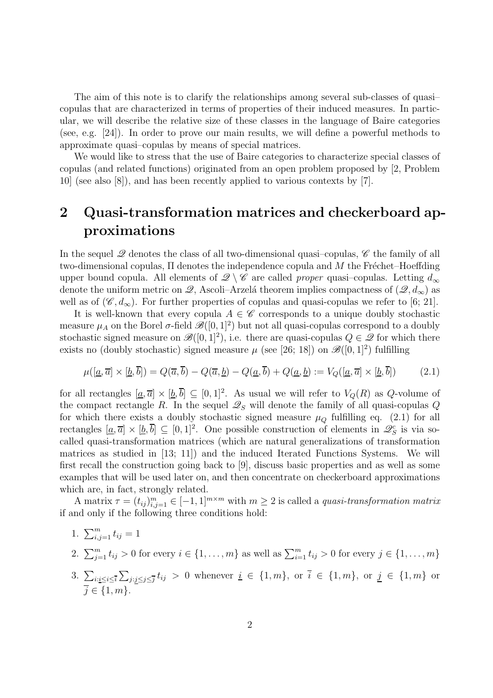The aim of this note is to clarify the relationships among several sub-classes of quasi– copulas that are characterized in terms of properties of their induced measures. In particular, we will describe the relative size of these classes in the language of Baire categories (see, e.g. [24]). In order to prove our main results, we will define a powerful methods to approximate quasi–copulas by means of special matrices.

We would like to stress that the use of Baire categories to characterize special classes of copulas (and related functions) originated from an open problem proposed by [2, Problem 10] (see also [8]), and has been recently applied to various contexts by [7].

# 2 Quasi-transformation matrices and checkerboard approximations

In the sequel  $\mathscr Q$  denotes the class of all two-dimensional quasi-copulas,  $\mathscr C$  the family of all two-dimensional copulas,  $\Pi$  denotes the independence copula and  $M$  the Fréchet–Hoeffding upper bound copula. All elements of  $\mathscr{Q} \setminus \mathscr{C}$  are called proper quasi-copulas. Letting  $d_{\infty}$ denote the uniform metric on  $\mathscr{Q}$ , Ascoli–Arzelá theorem implies compactness of  $(\mathscr{Q}, d_{\infty})$  as well as of  $(\mathscr{C}, d_{\infty})$ . For further properties of copulas and quasi-copulas we refer to [6; 21].

It is well-known that every copula  $A \in \mathscr{C}$  corresponds to a unique doubly stochastic measure  $\mu_A$  on the Borel  $\sigma$ -field  $\mathscr{B}([0,1]^2)$  but not all quasi-copulas correspond to a doubly stochastic signed measure on  $\mathscr{B}([0,1]^2)$ , i.e. there are quasi-copulas  $Q \in \mathscr{Q}$  for which there exists no (doubly stochastic) signed measure  $\mu$  (see [26; 18]) on  $\mathscr{B}([0,1]^2)$  fulfilling

$$
\mu([\underline{a}, \overline{a}] \times [\underline{b}, \overline{b}]) = Q(\overline{a}, \overline{b}) - Q(\overline{a}, \underline{b}) - Q(\underline{a}, \overline{b}) + Q(\underline{a}, \underline{b}) := V_Q([\underline{a}, \overline{a}] \times [\underline{b}, \overline{b}])
$$
(2.1)

for all rectangles  $[\underline{a}, \overline{a}] \times [\underline{b}, \overline{b}] \subseteq [0, 1]^2$ . As usual we will refer to  $V_Q(R)$  as Q-volume of the compact rectangle R. In the sequel  $\mathcal{Q}_S$  will denote the family of all quasi-copulas Q for which there exists a doubly stochastic signed measure  $\mu_Q$  fulfilling eq. (2.1) for all rectangles  $[\underline{a}, \overline{a}] \times [\underline{b}, \overline{b}] \subseteq [0, 1]^2$ . One possible construction of elements in  $\mathscr{L}_S^c$  is via socalled quasi-transformation matrices (which are natural generalizations of transformation matrices as studied in [13; 11]) and the induced Iterated Functions Systems. We will first recall the construction going back to [9], discuss basic properties and as well as some examples that will be used later on, and then concentrate on checkerboard approximations which are, in fact, strongly related.

A matrix  $\tau = (t_{ij})_{i,j=1}^m \in [-1,1]^{m \times m}$  with  $m \geq 2$  is called a quasi-transformation matrix if and only if the following three conditions hold:

- 1.  $\sum_{i,j=1}^{m} t_{ij} = 1$
- 2.  $\sum_{j=1}^{m} t_{ij} > 0$  for every  $i \in \{1, ..., m\}$  as well as  $\sum_{i=1}^{m} t_{ij} > 0$  for every  $j \in \{1, ..., m\}$
- 3.  $\sum_{i:i\leq i\leq \overline{i}}\sum_{j:j\leq j\leq \overline{j}}t_{ij} > 0$  whenever  $\underline{i} \in \{1,m\}$ , or  $\overline{i} \in \{1,m\}$ , or  $\underline{j} \in \{1,m\}$  or  $\overline{i} \in \{1, m\}.$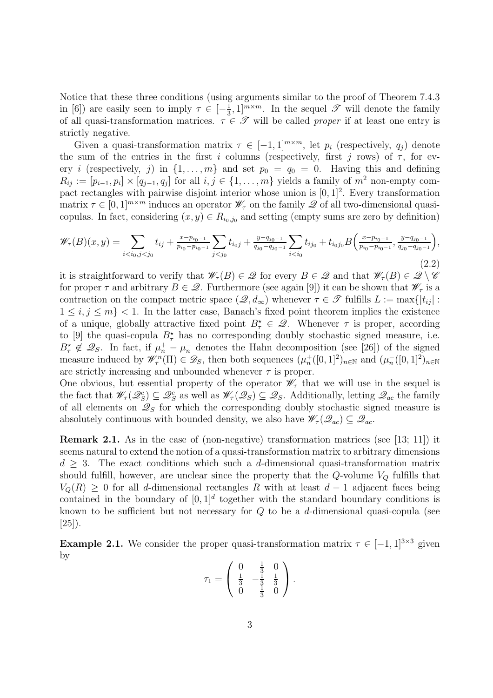Notice that these three conditions (using arguments similar to the proof of Theorem 7.4.3 in [6]) are easily seen to imply  $\tau \in \left[-\frac{1}{3}\right]$  $\frac{1}{3}$ , 1]<sup>*m*×*m*</sup>. In the sequel  $\mathscr{T}$  will denote the family of all quasi-transformation matrices.  $\tau \in \mathcal{T}$  will be called *proper* if at least one entry is strictly negative.

Given a quasi-transformation matrix  $\tau \in [-1, 1]^{m \times m}$ , let  $p_i$  (respectively,  $q_i$ ) denote the sum of the entries in the first i columns (respectively, first j rows) of  $\tau$ , for every *i* (respectively, *j*) in  $\{1, \ldots, m\}$  and set  $p_0 = q_0 = 0$ . Having this and defining  $R_{ij} := [p_{i-1}, p_i] \times [q_{j-1}, q_j]$  for all  $i, j \in \{1, ..., m\}$  yields a family of  $m^2$  non-empty compact rectangles with pairwise disjoint interior whose union is  $[0, 1]^2$ . Every transformation matrix  $\tau \in [0,1]^{m \times m}$  induces an operator  $\mathscr{W}_{\tau}$  on the family  $\mathscr{Q}$  of all two-dimensional quasicopulas. In fact, considering  $(x, y) \in R_{i_0, j_0}$  and setting (empty sums are zero by definition)

$$
\mathscr{W}_{\tau}(B)(x,y) = \sum_{i < i_0, j < j_0} t_{ij} + \frac{x - p_{i_0 - 1}}{p_{i_0} - p_{i_0 - 1}} \sum_{j < j_0} t_{i_0 j} + \frac{y - q_{j_0 - 1}}{q_{j_0} - q_{j_0 - 1}} \sum_{i < i_0} t_{i j_0} + t_{i_0 j_0} B\left(\frac{x - p_{i_0 - 1}}{p_{i_0} - p_{i_0 - 1}}, \frac{y - q_{j_0 - 1}}{q_{j_0} - q_{j_0 - 1}}\right),\tag{2.2}
$$

it is straightforward to verify that  $\mathscr{W}_{\tau}(B) \in \mathscr{Q}$  for every  $B \in \mathscr{Q}$  and that  $\mathscr{W}_{\tau}(B) \in \mathscr{Q} \setminus \mathscr{C}$ for proper  $\tau$  and arbitrary  $B \in \mathcal{Q}$ . Furthermore (see again [9]) it can be shown that  $\mathcal{W}_{\tau}$  is a contraction on the compact metric space  $(\mathscr{Q}, d_{\infty})$  whenever  $\tau \in \mathscr{T}$  fulfills  $L := \max\{|t_{ij}| :$  $1 \leq i, j \leq m$  < 1. In the latter case, Banach's fixed point theorem implies the existence of a unique, globally attractive fixed point  $B_{\tau}^{\star} \in \mathcal{Q}$ . Whenever  $\tau$  is proper, according to [9] the quasi-copula  $B_{\tau}^{\star}$  has no corresponding doubly stochastic signed measure, i.e.  $B_{\tau}^{\star} \notin \mathcal{Q}_S$ . In fact, if  $\mu_n^+ - \mu_n^-$  denotes the Hahn decomposition (see [26]) of the signed measure induced by  $\mathscr{W}_{\tau}^{n}(\Pi) \in \mathscr{D}_{S}$ , then both sequences  $(\mu_{n}^{+})$  $_{n}^{+}([0,1]^{2})_{n\in\mathbb{N}}$  and  $(\mu_{n}^{-}([0,1]^{2})_{n\in\mathbb{N}}$ are strictly increasing and unbounded whenever  $\tau$  is proper.

One obvious, but essential property of the operator  $\mathscr{W}_{\tau}$  that we will use in the sequel is the fact that  $\mathscr{W}_{\tau}(\mathscr{Q}_S^c) \subseteq \mathscr{Q}_S^c$  as well as  $\mathscr{W}_{\tau}(\mathscr{Q}_S) \subseteq \mathscr{Q}_S$ . Additionally, letting  $\mathscr{Q}_{ac}$  the family of all elements on  $\mathcal{Q}_S$  for which the corresponding doubly stochastic signed measure is absolutely continuous with bounded density, we also have  $\mathscr{W}_{\tau}(\mathscr{Q}_{ac}) \subseteq \mathscr{Q}_{ac}$ .

Remark 2.1. As in the case of (non-negative) transformation matrices (see [13; 11]) it seems natural to extend the notion of a quasi-transformation matrix to arbitrary dimensions  $d \geq 3$ . The exact conditions which such a d-dimensional quasi-transformation matrix should fulfill, however, are unclear since the property that the  $Q$ -volume  $V_Q$  fulfills that  $V<sub>O</sub>(R) \geq 0$  for all d-dimensional rectangles R with at least  $d-1$  adjacent faces being contained in the boundary of  $[0,1]^d$  together with the standard boundary conditions is known to be sufficient but not necessary for  $Q$  to be a d-dimensional quasi-copula (see  $[25]$ ).

**Example 2.1.** We consider the proper quasi-transformation matrix  $\tau \in [-1,1]^{3\times3}$  given by

$$
\tau_1 = \left(\begin{array}{ccc} 0 & \frac{1}{3} & 0 \\ \frac{1}{3} & -\frac{1}{3} & \frac{1}{3} \\ 0 & \frac{1}{3} & 0 \end{array}\right).
$$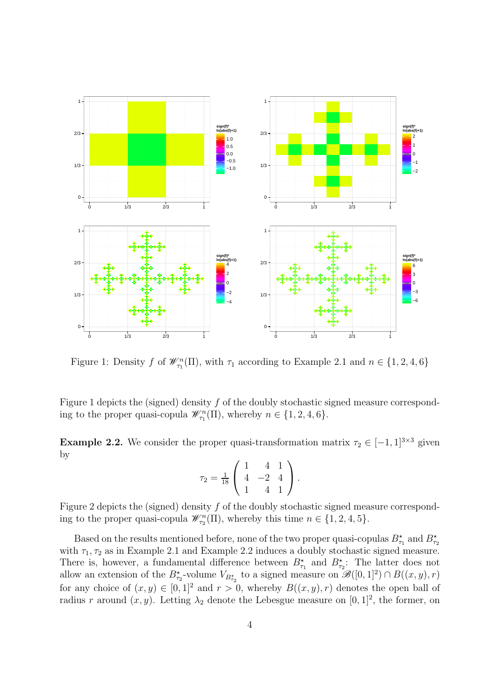

Figure 1: Density f of  $\mathcal{W}_{\tau_1}^n(\Pi)$ , with  $\tau_1$  according to Example 2.1 and  $n \in \{1, 2, 4, 6\}$ 

Figure 1 depicts the (signed) density  $f$  of the doubly stochastic signed measure corresponding to the proper quasi-copula  $\mathscr{W}_{\tau_1}^n(\Pi)$ , whereby  $n \in \{1, 2, 4, 6\}$ .

**Example 2.2.** We consider the proper quasi-transformation matrix  $\tau_2 \in [-1, 1]^{3 \times 3}$  given by

$$
\tau_2 = \frac{1}{18} \left( \begin{array}{rrr} 1 & 4 & 1 \\ 4 & -2 & 4 \\ 1 & 4 & 1 \end{array} \right).
$$

Figure 2 depicts the (signed) density f of the doubly stochastic signed measure corresponding to the proper quasi-copula  $\mathscr{W}_{\tau_2}^n(\Pi)$ , whereby this time  $n \in \{1, 2, 4, 5\}$ .

Based on the results mentioned before, none of the two proper quasi-copulas  $B_{\tau_1}^{\star}$  and  $B_{\tau_2}^{\star}$ with  $\tau_1, \tau_2$  as in Example 2.1 and Example 2.2 induces a doubly stochastic signed measure. There is, however, a fundamental difference between  $B_{\tau_1}^{\star}$  and  $B_{\tau_2}^{\star}$ : The latter does not allow an extension of the  $B_{\tau_2}^*$ -volume  $V_{B_{\tau_2}^*}$  to a signed measure on  $\mathscr{B}([0,1]^2) \cap B((x,y),r)$ for any choice of  $(x, y) \in [0, 1]^2$  and  $r > 0$ , whereby  $B((x, y), r)$  denotes the open ball of radius r around  $(x, y)$ . Letting  $\lambda_2$  denote the Lebesgue measure on [0, 1]<sup>2</sup>, the former, on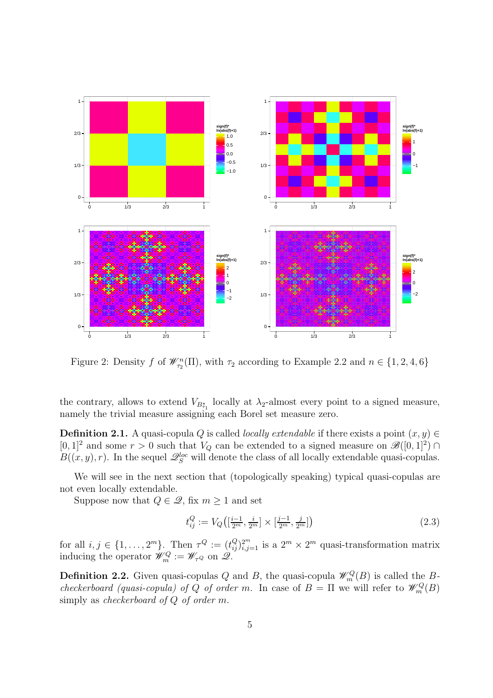

Figure 2: Density f of  $\mathcal{W}_{\tau_2}^n(\Pi)$ , with  $\tau_2$  according to Example 2.2 and  $n \in \{1, 2, 4, 6\}$ 

the contrary, allows to extend  $V_{B_{\tau_1}^*}$  locally at  $\lambda_2$ -almost every point to a signed measure, namely the trivial measure assigning each Borel set measure zero.

**Definition 2.1.** A quasi-copula Q is called *locally extendable* if there exists a point  $(x, y) \in$  $[0,1]^2$  and some  $r > 0$  such that  $V_Q$  can be extended to a signed measure on  $\mathscr{B}([0,1]^2) \cap$  $B((x, y), r)$ . In the sequel  $\mathscr{Q}_S^{loc}$  will denote the class of all locally extendable quasi-copulas.

We will see in the next section that (topologically speaking) typical quasi-copulas are not even locally extendable.

Suppose now that  $Q \in \mathcal{Q}$ , fix  $m \geq 1$  and set

$$
t_{ij}^Q := V_Q\left( \left[\frac{i-1}{2^m}, \frac{i}{2^m}\right] \times \left[\frac{j-1}{2^m}, \frac{j}{2^m}\right] \right) \tag{2.3}
$$

for all  $i, j \in \{1, ..., 2^m\}$ . Then  $\tau^Q := (t_{ij}^Q)_{i,j=1}^{2^m}$  is a  $2^m \times 2^m$  quasi-transformation matrix inducing the operator  $\mathscr{W}_m^Q := \mathscr{W}_{\tau^Q}$  on  $\mathscr{Q}$ .

**Definition 2.2.** Given quasi-copulas Q and B, the quasi-copula  $\mathscr{W}_m^Q(B)$  is called the Bcheckerboard (quasi-copula) of Q of order m. In case of  $B = \Pi$  we will refer to  $\mathscr{W}_m^Q(B)$ simply as *checkerboard* of Q of order m.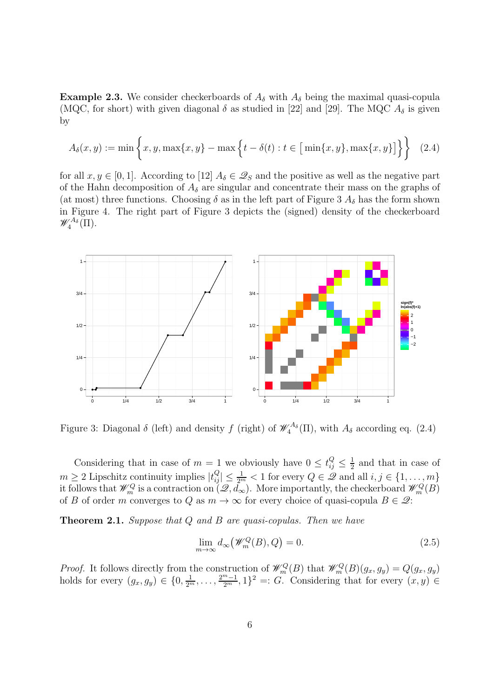**Example 2.3.** We consider checkerboards of  $A_{\delta}$  with  $A_{\delta}$  being the maximal quasi-copula (MQC, for short) with given diagonal  $\delta$  as studied in [22] and [29]. The MQC  $A_{\delta}$  is given by

$$
A_{\delta}(x, y) := \min \left\{ x, y, \max\{x, y\} - \max \left\{ t - \delta(t) : t \in \big[ \min\{x, y\}, \max\{x, y\} \big] \right\} \right\} \tag{2.4}
$$

for all  $x, y \in [0, 1]$ . According to [12]  $A_{\delta} \in \mathcal{Q}_S$  and the positive as well as the negative part of the Hahn decomposition of  $A_{\delta}$  are singular and concentrate their mass on the graphs of (at most) three functions. Choosing  $\delta$  as in the left part of Figure 3  $A_{\delta}$  has the form shown in Figure 4. The right part of Figure 3 depicts the (signed) density of the checkerboard  $\mathscr{W}^{A_{\delta}}_4(\Pi).$ 



Figure 3: Diagonal  $\delta$  (left) and density f (right) of  $\mathcal{W}^{A_{\delta}}_4(\Pi)$ , with  $A_{\delta}$  according eq. (2.4)

Considering that in case of  $m = 1$  we obviously have  $0 \leq t_{ij}^Q \leq \frac{1}{2}$  $\frac{1}{2}$  and that in case of  $m \geq 2$  Lipschitz continuity implies  $|t_{ij}^Q| \leq \frac{1}{2^m} < 1$  for every  $Q \in \mathscr{Q}$  and all  $i, j \in \{1, \ldots, m\}$ it follows that  $\mathscr{W}_m^Q$  is a contraction on  $(\mathscr{Q}, d_\infty)$ . More importantly, the checkerboard  $\mathscr{W}_m^Q(B)$ of B of order m converges to Q as  $m \to \infty$  for every choice of quasi-copula  $B \in \mathcal{Q}$ :

Theorem 2.1. Suppose that Q and B are quasi-copulas. Then we have

$$
\lim_{m \to \infty} d_{\infty}(\mathscr{W}_m^Q(B), Q) = 0. \tag{2.5}
$$

*Proof.* It follows directly from the construction of  $\mathcal{W}_m^Q(B)$  that  $\mathcal{W}_m^Q(B)(g_x, g_y) = Q(g_x, g_y)$ holds for every  $(g_x, g_y) \in \{0, \frac{1}{2^m}, \ldots, \frac{2^{m-1}}{2^m}, 1\}^2 =: G$ . Considering that for every  $(x, y) \in$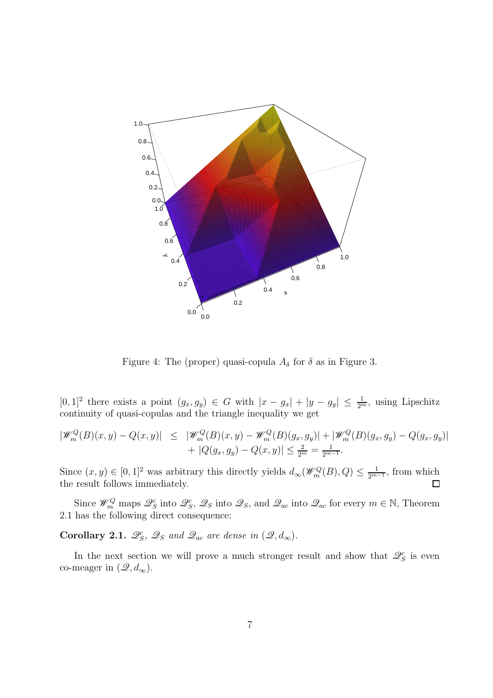

Figure 4: The (proper) quasi-copula  $A_{\delta}$  for  $\delta$  as in Figure 3.

 $[0,1]^2$  there exists a point  $(g_x, g_y) \in G$  with  $|x - g_x| + |y - g_y| \leq \frac{1}{2^m}$ , using Lipschitz continuity of quasi-copulas and the triangle inequality we get

$$
\begin{array}{rcl} |\mathscr{W}_m^Q(B)(x,y) - Q(x,y)| & \leq & |\mathscr{W}_m^Q(B)(x,y) - \mathscr{W}_m^Q(B)(g_x,g_y)| + |\mathscr{W}_m^Q(B)(g_x,g_y) - Q(g_x,g_y)| \\ & + |Q(g_x,g_y) - Q(x,y)| \leq \frac{2}{2^m} = \frac{1}{2^{m-1}}. \end{array}
$$

Since  $(x, y) \in [0, 1]^2$  was arbitrary this directly yields  $d_{\infty}(\mathscr{W}_m^Q(B), Q) \leq \frac{1}{2^{m-1}}$ , from which the result follows immediately.

Since  $\mathscr{W}_m^Q$  maps  $\mathscr{Q}_S^c$  into  $\mathscr{Q}_S$ ,  $\mathscr{Q}_S$  into  $\mathscr{Q}_s$ , and  $\mathscr{Q}_{ac}$  into  $\mathscr{Q}_{ac}$  for every  $m \in \mathbb{N}$ , Theorem 2.1 has the following direct consequence:

Corollary 2.1.  $\mathscr{Q}_S^c$ ,  $\mathscr{Q}_S$  and  $\mathscr{Q}_{ac}$  are dense in  $(\mathscr{Q}, d_{\infty})$ .

In the next section we will prove a much stronger result and show that  $\mathcal{Q}_S^c$  is even co-meager in  $(\mathscr{Q}, d_{\infty})$ .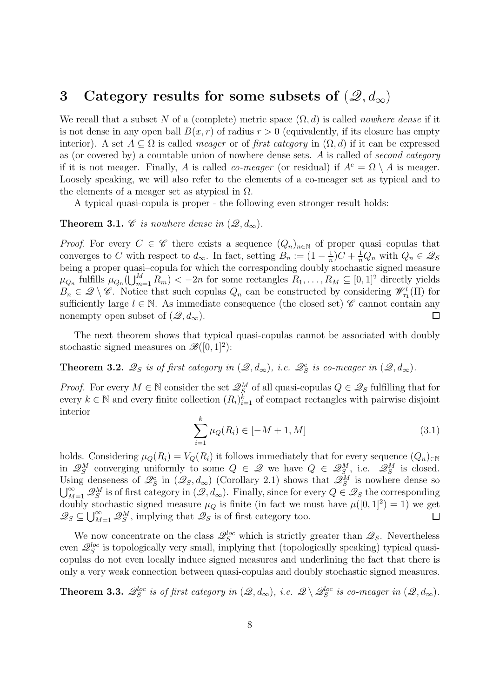### 3 Category results for some subsets of  $(\mathcal{Q}, d_{\infty})$

We recall that a subset N of a (complete) metric space  $(\Omega, d)$  is called *nowhere dense* if it is not dense in any open ball  $B(x, r)$  of radius  $r > 0$  (equivalently, if its closure has empty interior). A set  $A \subseteq \Omega$  is called *meager* or of *first category* in  $(\Omega, d)$  if it can be expressed as (or covered by) a countable union of nowhere dense sets. A is called of second category if it is not meager. Finally, A is called *co-meager* (or residual) if  $A^c = \Omega \setminus A$  is meager. Loosely speaking, we will also refer to the elements of a co-meager set as typical and to the elements of a meager set as atypical in  $\Omega$ .

A typical quasi-copula is proper - the following even stronger result holds:

#### **Theorem 3.1.** C is nowhere dense in  $(\mathscr{Q}, d_{\infty})$ .

*Proof.* For every  $C \in \mathscr{C}$  there exists a sequence  $(Q_n)_{n \in \mathbb{N}}$  of proper quasi-copulas that converges to C with respect to  $d_{\infty}$ . In fact, setting  $B_n := (1 - \frac{1}{n})$  $\frac{1}{n}$ ) $C + \frac{1}{n}Q_n$  with  $Q_n \in \mathscr{Q}_S$ being a proper quasi–copula for which the corresponding doubly stochastic signed measure  $\mu_{Q_n}$  fulfills  $\mu_{Q_n}(\bigcup_{m=1}^M R_m) < -2n$  for some rectangles  $R_1, \ldots, R_M \subseteq [0, 1]^2$  directly yields  $B_n \in \mathcal{Q} \setminus \mathcal{C}$ . Notice that such copulas  $Q_n$  can be constructed by considering  $\mathcal{W}^l_{\tau_1}(\Pi)$  for sufficiently large  $l \in \mathbb{N}$ . As immediate consequence (the closed set)  $\mathscr{C}$  cannot contain any nonempty open subset of  $(\mathscr{Q}, d_{\infty})$ .  $\Box$ 

The next theorem shows that typical quasi-copulas cannot be associated with doubly stochastic signed measures on  $\mathscr{B}([0,1]^2)$ :

**Theorem 3.2.**  $\mathscr{Q}_S$  is of first category in  $(\mathscr{Q}, d_{\infty})$ , i.e.  $\mathscr{Q}_S^c$  is co-meager in  $(\mathscr{Q}, d_{\infty})$ .

*Proof.* For every  $M \in \mathbb{N}$  consider the set  $\mathcal{Q}_S^M$  of all quasi-copulas  $Q \in \mathcal{Q}_S$  fulfilling that for every  $k \in \mathbb{N}$  and every finite collection  $(R_i)_{i=1}^{\tilde{k}}$  of compact rectangles with pairwise disjoint interior

$$
\sum_{i=1}^{k} \mu_Q(R_i) \in [-M+1, M] \tag{3.1}
$$

holds. Considering  $\mu_Q(R_i) = V_Q(R_i)$  it follows immediately that for every sequence  $(Q_n)_{\in \mathbb{N}}$ in  $\mathcal{Q}_S^M$  converging uniformly to some  $Q \in \mathcal{Q}$  we have  $Q \in \mathcal{Q}_S^M$ , i.e.  $\mathcal{Q}_S^M$  is closed. Using denseness of  $\mathscr{Q}_S^c$  in  $(\mathscr{Q}_S, d_\infty)$  (Corollary 2.1) shows that  $\mathscr{Q}_S^M$  is nowhere dense so  $\bigcup_{M=1}^{\infty} \mathscr{Q}_{S}^{M}$  is of first category in  $(\mathscr{Q}, d_{\infty})$ . Finally, since for every  $Q \in \mathscr{Q}_{S}$  the corresponding doubly stochastic signed measure  $\mu_Q$  is finite (in fact we must have  $\mu([0,1]^2) = 1$ ) we get  $\mathscr{Q}_S \subseteq \bigcup_{M=1}^{\infty} \mathscr{Q}_S^M$ , implying that  $\mathscr{Q}_S$  is of first category too.  $\Box$ 

We now concentrate on the class  $\mathcal{Q}_S^{loc}$  which is strictly greater than  $\mathcal{Q}_S$ . Nevertheless even  $\mathcal{Q}_S^{loc}$  is topologically very small, implying that (topologically speaking) typical quasicopulas do not even locally induce signed measures and underlining the fact that there is only a very weak connection between quasi-copulas and doubly stochastic signed measures.

**Theorem 3.3.**  $\mathscr{Q}_S^{loc}$  is of first category in  $(\mathscr{Q}, d_\infty)$ , i.e.  $\mathscr{Q} \setminus \mathscr{Q}_S^{loc}$  is co-meager in  $(\mathscr{Q}, d_\infty)$ .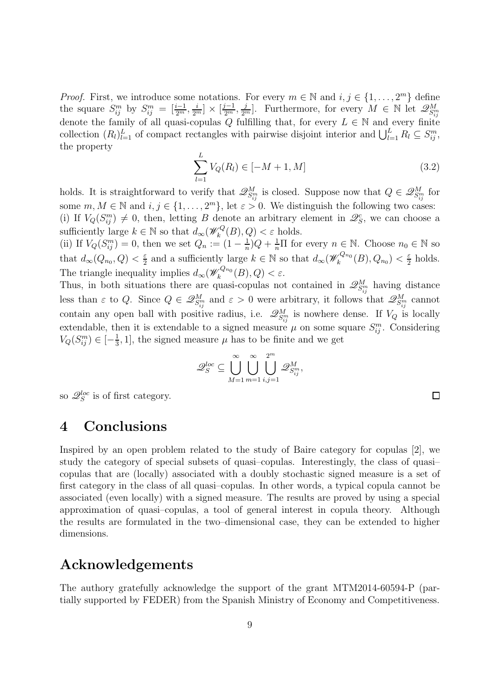*Proof.* First, we introduce some notations. For every  $m \in \mathbb{N}$  and  $i, j \in \{1, ..., 2^m\}$  define the square  $S_{ij}^m$  by  $S_{ij}^m = \left[\frac{i-1}{2^m}, \frac{i}{2^m}\right] \times \left[\frac{j-1}{2^m}, \frac{j}{2^m}\right]$ . Furthermore, for every  $M \in \mathbb{N}$  let  $\mathscr{Q}_{S_{ij}^m}^M$ denote the family of all quasi-copulas Q fulfilling that, for every  $L \in \mathbb{N}$  and every finite collection  $(R_l)_{l=1}^L$  of compact rectangles with pairwise disjoint interior and  $\bigcup_{l=1}^L R_l \subseteq S_{ij}^m$ , the property

$$
\sum_{l=1}^{L} V_Q(R_l) \in [-M+1, M] \tag{3.2}
$$

 $\Box$ 

holds. It is straightforward to verify that  $\mathscr{Q}_{S_{ij}^m}^M$  is closed. Suppose now that  $Q \in \mathscr{Q}_{S_{ij}^m}^M$  for some  $m, M \in \mathbb{N}$  and  $i, j \in \{1, ..., 2^m\}$ , let  $\varepsilon > 0$ . We distinguish the following two cases: (i) If  $V_Q(S_{ij}^m) \neq 0$ , then, letting B denote an arbitrary element in  $\mathcal{Q}_S^c$ , we can choose a sufficiently large  $k \in \mathbb{N}$  so that  $d_{\infty}(\mathscr{W}_k^Q)$  $\chi_k^Q(B), Q) < \varepsilon$  holds.

(ii) If  $V_Q(S_{ij}^m) = 0$ , then we set  $Q_n := (1 - \frac{1}{n})$  $\frac{1}{n}$ ) $Q + \frac{1}{n}\Pi$  for every  $n \in \mathbb{N}$ . Choose  $n_0 \in \mathbb{N}$  so that  $d_{\infty}(Q_{n_0}, Q) < \frac{\varepsilon}{2}$  $\frac{\varepsilon}{2}$  and a sufficiently large  $k \in \mathbb{N}$  so that  $d_{\infty}(\mathscr{W}_k^{Q_{n_0}})$  $\chi_k^{Q_{n_0}}(B),Q_{n_0})<\frac{\varepsilon}{2}$  $rac{\varepsilon}{2}$  holds. The triangle inequality implies  $d_{\infty}(\mathscr{W}_k^{Q_{n_0}})$  $\zeta_k^{\mathcal{Q}_{n_0}}(B),Q)<\varepsilon.$ 

Thus, in both situations there are quasi-copulas not contained in  $\mathscr{Q}_{S_{ij}}^M$  having distance less than  $\varepsilon$  to Q. Since  $Q \in \mathscr{Q}_{S_{ij}^m}^M$  and  $\varepsilon > 0$  were arbitrary, it follows that  $\mathscr{Q}_{S_{ij}^m}^M$  cannot contain any open ball with positive radius, i.e.  $\mathscr{Q}_{S_{ij}^m}^M$  is nowhere dense. If  $V_Q$  is locally extendable, then it is extendable to a signed measure  $\mu$  on some square  $S_{ij}^m$ . Considering  $V_Q(S_{ij}^m) \in \left[ -\frac{1}{3} \right]$  $\frac{1}{3}$ , 1], the signed measure  $\mu$  has to be finite and we get

$$
\mathscr{Q}_S^{loc} \subseteq \bigcup_{M=1}^{\infty} \bigcup_{m=1}^{\infty} \bigcup_{i,j=1}^{2^m} \mathscr{Q}_{S_{ij}^m}^M,
$$

so  $\mathscr{Q}_S^{loc}$  is of first category.

# 4 Conclusions

Inspired by an open problem related to the study of Baire category for copulas [2], we study the category of special subsets of quasi–copulas. Interestingly, the class of quasi– copulas that are (locally) associated with a doubly stochastic signed measure is a set of first category in the class of all quasi–copulas. In other words, a typical copula cannot be associated (even locally) with a signed measure. The results are proved by using a special approximation of quasi–copulas, a tool of general interest in copula theory. Although the results are formulated in the two–dimensional case, they can be extended to higher dimensions.

## Acknowledgements

The authory gratefully acknowledge the support of the grant MTM2014-60594-P (partially supported by FEDER) from the Spanish Ministry of Economy and Competitiveness.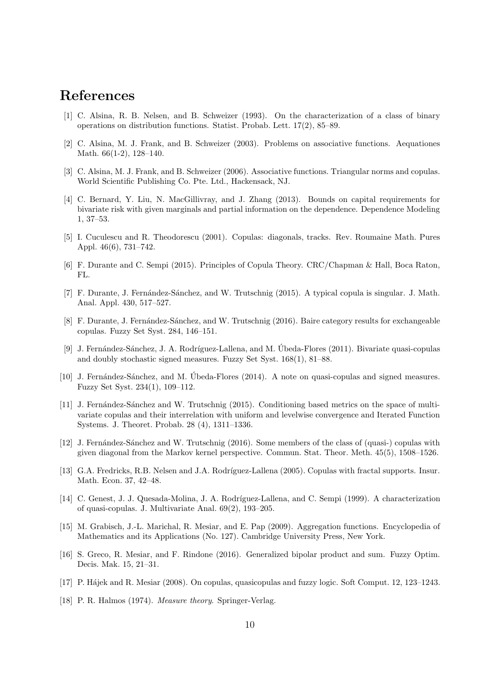# References

- [1] C. Alsina, R. B. Nelsen, and B. Schweizer (1993). On the characterization of a class of binary operations on distribution functions. Statist. Probab. Lett. 17(2), 85–89.
- [2] C. Alsina, M. J. Frank, and B. Schweizer (2003). Problems on associative functions. Aequationes Math. 66(1-2), 128–140.
- [3] C. Alsina, M. J. Frank, and B. Schweizer (2006). Associative functions. Triangular norms and copulas. World Scientific Publishing Co. Pte. Ltd., Hackensack, NJ.
- [4] C. Bernard, Y. Liu, N. MacGillivray, and J. Zhang (2013). Bounds on capital requirements for bivariate risk with given marginals and partial information on the dependence. Dependence Modeling 1, 37–53.
- [5] I. Cuculescu and R. Theodorescu (2001). Copulas: diagonals, tracks. Rev. Roumaine Math. Pures Appl. 46(6), 731–742.
- [6] F. Durante and C. Sempi (2015). Principles of Copula Theory. CRC/Chapman & Hall, Boca Raton, FL.
- [7] F. Durante, J. Fernández-Sánchez, and W. Trutschnig (2015). A typical copula is singular. J. Math. Anal. Appl. 430, 517–527.
- [8] F. Durante, J. Fernández-Sánchez, and W. Trutschnig (2016). Baire category results for exchangeable copulas. Fuzzy Set Syst. 284, 146–151.
- [9] J. Fernández-Sánchez, J. A. Rodríguez-Lallena, and M. Úbeda-Flores (2011). Bivariate quasi-copulas and doubly stochastic signed measures. Fuzzy Set Syst. 168(1), 81–88.
- [10] J. Fernández-Sánchez, and M. Ubeda-Flores  $(2014)$ . A note on quasi-copulas and signed measures. Fuzzy Set Syst. 234(1), 109–112.
- [11] J. Fernández-Sánchez and W. Trutschnig (2015). Conditioning based metrics on the space of multivariate copulas and their interrelation with uniform and levelwise convergence and Iterated Function Systems. J. Theoret. Probab. 28 (4), 1311–1336.
- [12] J. Fernández-Sánchez and W. Trutschnig (2016). Some members of the class of (quasi-) copulas with given diagonal from the Markov kernel perspective. Commun. Stat. Theor. Meth. 45(5), 1508–1526.
- [13] G.A. Fredricks, R.B. Nelsen and J.A. Rodríguez-Lallena (2005). Copulas with fractal supports. Insur. Math. Econ. 37, 42–48.
- [14] C. Genest, J. J. Quesada-Molina, J. A. Rodríguez-Lallena, and C. Sempi (1999). A characterization of quasi-copulas. J. Multivariate Anal. 69(2), 193–205.
- [15] M. Grabisch, J.-L. Marichal, R. Mesiar, and E. Pap (2009). Aggregation functions. Encyclopedia of Mathematics and its Applications (No. 127). Cambridge University Press, New York.
- [16] S. Greco, R. Mesiar, and F. Rindone (2016). Generalized bipolar product and sum. Fuzzy Optim. Decis. Mak. 15, 21–31.
- [17] P. H´ajek and R. Mesiar (2008). On copulas, quasicopulas and fuzzy logic. Soft Comput. 12, 123–1243.
- [18] P. R. Halmos (1974). *Measure theory*. Springer-Verlag.